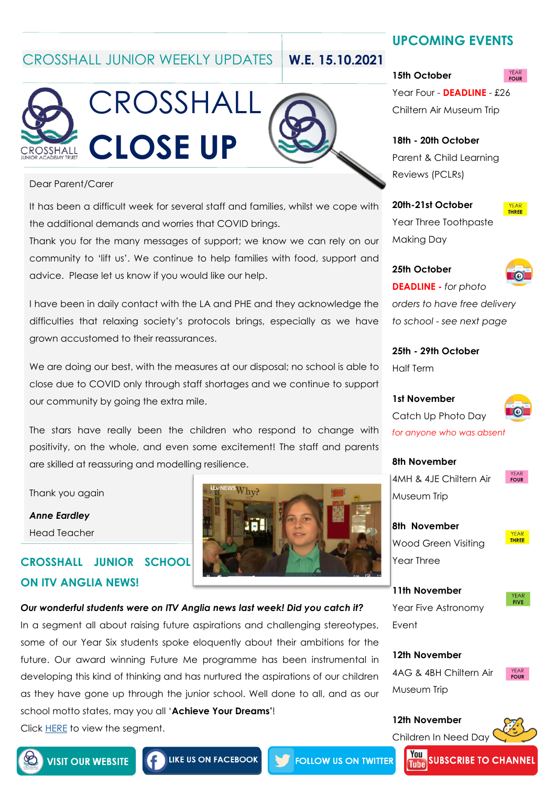CROSSHALL JUNIOR WEEKLY UPDATES **W.E. 15.10.2021**



### Dear Parent/Carer

It has been a difficult week for several staff and families, whilst we cope with the additional demands and worries that COVID brings.

Thank you for the many messages of support; we know we can rely on our community to 'lift us'. We continue to help families with food, support and advice. Please let us know if you would like our help.

I have been in daily contact with the LA and PHE and they acknowledge the difficulties that relaxing society's protocols brings, especially as we have grown accustomed to their reassurances.

We are doing our best, with the measures at our disposal; no school is able to close due to COVID only through staff shortages and we continue to support our community by going the extra mile.

The stars have really been the children who respond to change with positivity, on the whole, and even some excitement! The staff and parents are skilled at reassuring and modelling resilience.

 $\operatorname{Whv?}$ 

18 E

Thank you again

*Anne Eardley* Head Teacher

# **CROSSHALL JUNIOR SCHOOL ON ITV ANGLIA NEWS!**

*Our wonderful students were on ITV Anglia news last week! Did you catch it?* In a segment all about raising future aspirations and challenging stereotypes, some of our Year Six students spoke eloquently about their ambitions for the future. Our award winning Future Me programme has been instrumental in developing this kind of thinking and has nurtured the aspirations of our children as they have gone up through the junior school. Well done to all, and as our school motto states, may you all '**Achieve Your Dreams'**! Click [HERE](https://www.crosshalljunior.co.uk/news/?pid=7&nid=1&storyid=88) to view the segment.

# **UPCOMING EVENTS**

## **15th October**

Year Four - **DEADLINE** - £26 Chiltern Air Museum Trip

## **18th - 20th October** Parent & Child Learning Reviews (PCLRs)

**20th-21st October** Year Three Toothpaste Making Day



# **25th October**



**DEADLINE -** *for photo orders to have free delivery to school - see next page*

**25th - 29th October** Half Term

**1st November** Catch Up Photo Day *for anyone who was absent* 



4MH & 4JE Chiltern Air Museum Trip

**YEAR**<br>**FOUR** 

**8th November** Wood Green Visiting Year Three

**YEAR**<br>THREE

**11th November** Year Five Astronomy Event



**12th November** 4AG & 4BH Chiltern Air Museum Trip

Children In Need Day

**12th November**



**YEAR**<br>**FOUR** 



**LIKE US ON FACEBOOK** 

**FOLLOW US ON TWITTER**